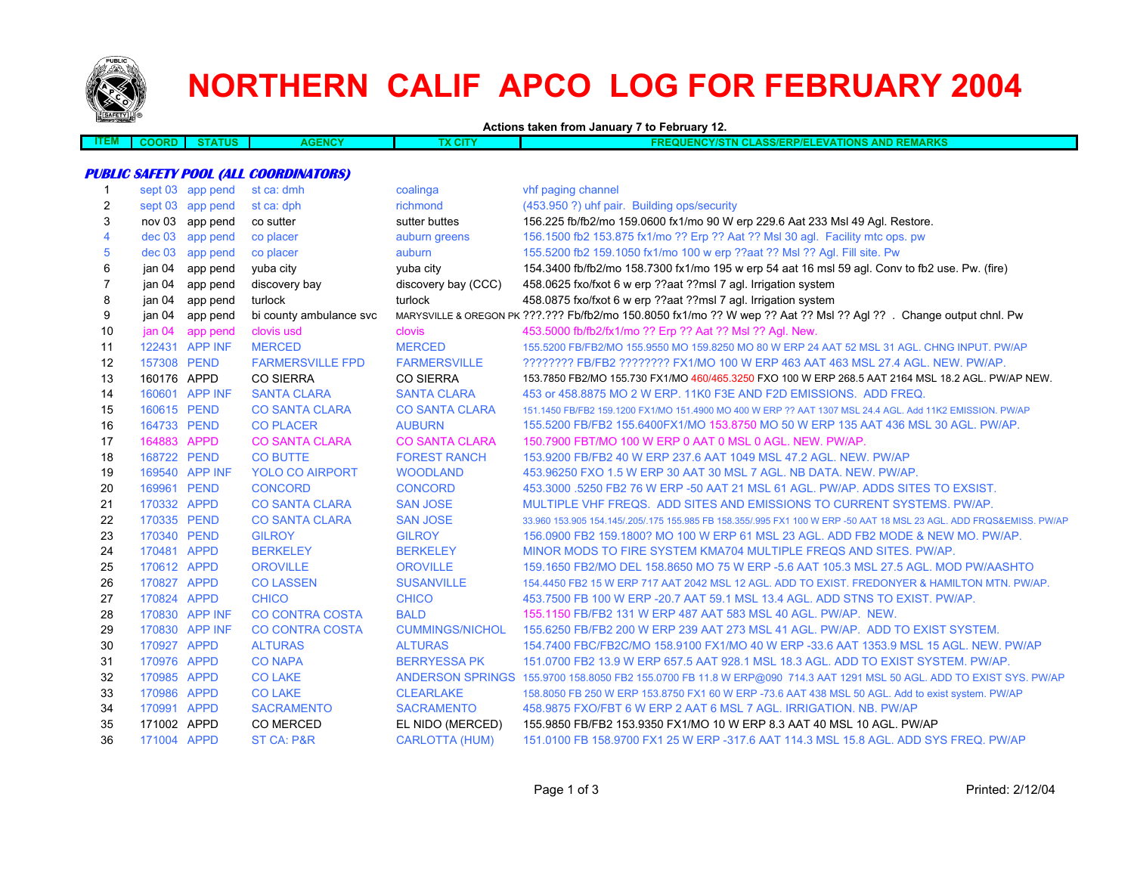

## **NORTHERN CALIF APCO LOG FOR FEBRUARY 2004**

**Actions taken from January 7 to February 12.**

| ___<br>I EM L | IN L<br>. | 11 C<br>. | <b>TAIOV</b><br>.<br>.WU | <b>CIT</b> | mize<br>AND<br>1 - 7 1 -<br><b>AKA.</b><br>.<br>.<br>.<br>. .<br>---<br>NLIVIA |
|---------------|-----------|-----------|--------------------------|------------|--------------------------------------------------------------------------------|
|               |           |           |                          |            |                                                                                |

## **PUBLIC SAFETY POOL (ALL COORDINATORS)**

| $\mathbf{1}$ |             | sept 03 app pend | st ca: dmh              | coalinga               | vhf paging channel                                                                                                   |
|--------------|-------------|------------------|-------------------------|------------------------|----------------------------------------------------------------------------------------------------------------------|
| 2            |             | sept 03 app pend | st ca: dph              | richmond               | (453.950 ?) uhf pair. Building ops/security                                                                          |
| 3            | nov 03      | app pend         | co sutter               | sutter buttes          | 156.225 fb/fb2/mo 159.0600 fx1/mo 90 W erp 229.6 Aat 233 Msl 49 Aql. Restore.                                        |
| 4            | $dec$ 03    | app pend         | co placer               | auburn greens          | 156.1500 fb2 153.875 fx1/mo ?? Erp ?? Aat ?? Msl 30 agl. Facility mtc ops. pw                                        |
| 5            | dec 03      | app pend         | co placer               | auburn                 | 155.5200 fb2 159.1050 fx1/mo 100 w erp ??aat ?? Msl ?? Agl. Fill site. Pw                                            |
| 6            | jan 04      | app pend         | yuba city               | yuba city              | 154.3400 fb/fb2/mo 158.7300 fx1/mo 195 w erp 54 aat 16 msl 59 agl. Conv to fb2 use. Pw. (fire)                       |
| 7            | jan 04      | app pend         | discovery bay           | discovery bay (CCC)    | 458.0625 fxo/fxot 6 w erp ??aat ??msl 7 agl. Irrigation system                                                       |
| 8            | jan 04      | app pend         | turlock                 | turlock                | 458.0875 fxo/fxot 6 w erp ??aat ??msl 7 agl. Irrigation system                                                       |
| 9            | jan 04      | app pend         | bi county ambulance svc |                        | MARYSVILLE & OREGON PK ???.??? Fb/fb2/mo 150.8050 fx1/mo ?? W wep ?? Aat ?? Msl ?? Agl ?? . Change output chnl. Pw   |
| 10           | jan 04      | app pend         | clovis usd              | clovis                 | 453.5000 fb/fb2/fx1/mo ?? Erp ?? Aat ?? Msl ?? Agl. New.                                                             |
| 11           |             | 122431 APP INF   | <b>MERCED</b>           | <b>MERCED</b>          | 155.5200 FB/FB2/MO 155.9550 MO 159.8250 MO 80 W ERP 24 AAT 52 MSL 31 AGL. CHNG INPUT. PW/AP                          |
| 12           | 157308 PEND |                  | <b>FARMERSVILLE FPD</b> | <b>FARMERSVILLE</b>    | ???????? FB/FB2 ??????? FX1/MO 100 W ERP 463 AAT 463 MSL 27.4 AGL. NEW. PW/AP.                                       |
| 13           | 160176 APPD |                  | <b>CO SIERRA</b>        | <b>CO SIERRA</b>       | 153.7850 FB2/MO 155.730 FX1/MO 460/465.3250 FXO 100 W ERP 268.5 AAT 2164 MSL 18.2 AGL. PW/AP NEW.                    |
| 14           |             | 160601 APP INF   | <b>SANTA CLARA</b>      | <b>SANTA CLARA</b>     | 453 or 458,8875 MO 2 W ERP, 11K0 F3E AND F2D EMISSIONS. ADD FREQ.                                                    |
| 15           | 160615 PEND |                  | <b>CO SANTA CLARA</b>   | <b>CO SANTA CLARA</b>  | 151.1450 FB/FB2 159.1200 FX1/MO 151.4900 MO 400 W ERP ?? AAT 1307 MSL 24.4 AGL. Add 11K2 EMISSION. PW/AP             |
| 16           | 164733 PEND |                  | <b>CO PLACER</b>        | <b>AUBURN</b>          | 155.5200 FB/FB2 155.6400FX1/MO 153.8750 MO 50 W ERP 135 AAT 436 MSL 30 AGL. PW/AP.                                   |
| 17           | 164883 APPD |                  | <b>CO SANTA CLARA</b>   | <b>CO SANTA CLARA</b>  | 150,7900 FBT/MO 100 W ERP 0 AAT 0 MSL 0 AGL, NEW, PW/AP,                                                             |
| 18           | 168722 PEND |                  | <b>CO BUTTE</b>         | <b>FOREST RANCH</b>    | 153,9200 FB/FB2 40 W ERP 237.6 AAT 1049 MSL 47.2 AGL, NEW, PW/AP                                                     |
| 19           |             | 169540 APP INF   | <b>YOLO CO AIRPORT</b>  | <b>WOODLAND</b>        | 453,96250 FXO 1.5 W ERP 30 AAT 30 MSL 7 AGL, NB DATA, NEW, PW/AP.                                                    |
| 20           | 169961 PEND |                  | <b>CONCORD</b>          | <b>CONCORD</b>         | 453,3000 5250 FB2 76 W ERP -50 AAT 21 MSL 61 AGL. PW/AP, ADDS SITES TO EXSIST.                                       |
| 21           | 170332 APPD |                  | <b>CO SANTA CLARA</b>   | <b>SAN JOSE</b>        | MULTIPLE VHF FREQS. ADD SITES AND EMISSIONS TO CURRENT SYSTEMS, PW/AP.                                               |
| 22           | 170335 PEND |                  | <b>CO SANTA CLARA</b>   | <b>SAN JOSE</b>        | 33,960 153,905 154,145/.205/.175 155,985 FB 158,355/.995 FX1 100 W ERP -50 AAT 18 MSL 23 AGL. ADD FRQS&EMISS, PW/AP  |
| 23           | 170340 PEND |                  | <b>GILROY</b>           | <b>GILROY</b>          | 156,0900 FB2 159,1800? MO 100 W ERP 61 MSL 23 AGL, ADD FB2 MODE & NEW MO, PW/AP,                                     |
| 24           | 170481 APPD |                  | <b>BERKELEY</b>         | <b>BERKELEY</b>        | MINOR MODS TO FIRE SYSTEM KMA704 MULTIPLE FREQS AND SITES. PW/AP.                                                    |
| 25           | 170612 APPD |                  | <b>OROVILLE</b>         | <b>OROVILLE</b>        | 159.1650 FB2/MO DEL 158.8650 MO 75 W ERP -5.6 AAT 105.3 MSL 27.5 AGL. MOD PW/AASHTO                                  |
| 26           | 170827 APPD |                  | <b>CO LASSEN</b>        | <b>SUSANVILLE</b>      | 154.4450 FB2 15 W ERP 717 AAT 2042 MSL 12 AGL, ADD TO EXIST, FREDONYER & HAMILTON MTN, PW/AP.                        |
| 27           | 170824 APPD |                  | <b>CHICO</b>            | <b>CHICO</b>           | 453.7500 FB 100 W ERP - 20.7 AAT 59.1 MSL 13.4 AGL, ADD STNS TO EXIST, PW/AP.                                        |
| 28           |             | 170830 APP INF   | <b>CO CONTRA COSTA</b>  | <b>BALD</b>            | 155,1150 FB/FB2 131 W ERP 487 AAT 583 MSL 40 AGL, PW/AP, NEW.                                                        |
| 29           | 170830      | <b>APP INF</b>   | <b>CO CONTRA COSTA</b>  | <b>CUMMINGS/NICHOL</b> | 155.6250 FB/FB2 200 W ERP 239 AAT 273 MSL 41 AGL. PW/AP. ADD TO EXIST SYSTEM.                                        |
| 30           | 170927 APPD |                  | <b>ALTURAS</b>          | <b>ALTURAS</b>         | 154.7400 FBC/FB2C/MO 158.9100 FX1/MO 40 W ERP -33.6 AAT 1353.9 MSL 15 AGL. NEW. PW/AP                                |
| 31           | 170976 APPD |                  | <b>CO NAPA</b>          | <b>BERRYESSA PK</b>    | 151,0700 FB2 13.9 W ERP 657.5 AAT 928.1 MSL 18.3 AGL, ADD TO EXIST SYSTEM, PW/AP.                                    |
| 32           | 170985 APPD |                  | <b>CO LAKE</b>          |                        | ANDERSON SPRINGS 155.9700 158.8050 FB2 155.0700 FB 11.8 W ERP@090 714.3 AAT 1291 MSL 50 AGL. ADD TO EXIST SYS. PW/AP |
| 33           | 170986 APPD |                  | <b>CO LAKE</b>          | <b>CLEARLAKE</b>       | 158.8050 FB 250 W ERP 153.8750 FX1 60 W ERP -73.6 AAT 438 MSL 50 AGL. Add to exist system. PW/AP                     |
| 34           | 170991 APPD |                  | <b>SACRAMENTO</b>       | <b>SACRAMENTO</b>      | 458,9875 FXO/FBT 6 W ERP 2 AAT 6 MSL 7 AGL. IRRIGATION, NB, PW/AP                                                    |
| 35           | 171002 APPD |                  | CO MERCED               | EL NIDO (MERCED)       | 155.9850 FB/FB2 153.9350 FX1/MO 10 W ERP 8.3 AAT 40 MSL 10 AGL. PW/AP                                                |
| 36           | 171004 APPD |                  | <b>ST CA: P&amp;R</b>   | <b>CARLOTTA (HUM)</b>  | 151.0100 FB 158.9700 FX1 25 W ERP -317.6 AAT 114.3 MSL 15.8 AGL. ADD SYS FREQ. PW/AP                                 |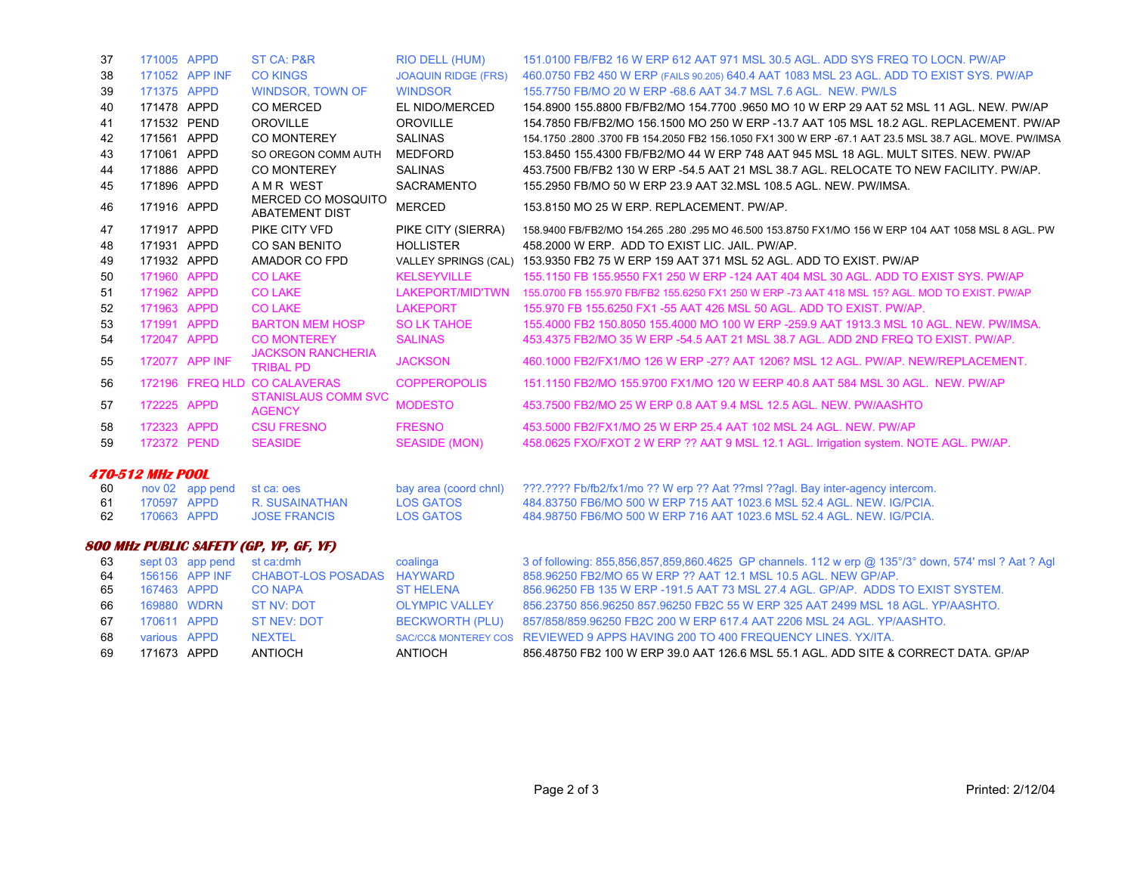| 37 | 171005 APPD             |                  | <b>ST CA: P&amp;R</b>                        | <b>RIO DELL (HUM)</b>      | 151,0100 FB/FB2 16 W ERP 612 AAT 971 MSL 30.5 AGL, ADD SYS FREQ TO LOCN, PW/AP                         |
|----|-------------------------|------------------|----------------------------------------------|----------------------------|--------------------------------------------------------------------------------------------------------|
| 38 |                         | 171052 APP INF   | <b>CO KINGS</b>                              | <b>JOAQUIN RIDGE (FRS)</b> | 460.0750 FB2 450 W ERP (FAILS 90.205) 640.4 AAT 1083 MSL 23 AGL. ADD TO EXIST SYS. PW/AP               |
| 39 | 171375 APPD             |                  | <b>WINDSOR, TOWN OF</b>                      | <b>WINDSOR</b>             | 155,7750 FB/MO 20 W ERP -68.6 AAT 34.7 MSL 7.6 AGL, NEW, PW/LS                                         |
| 40 | 171478 APPD             |                  | <b>CO MERCED</b>                             | EL NIDO/MERCED             | 154.8900 155.8800 FB/FB2/MO 154.7700 .9650 MO 10 W ERP 29 AAT 52 MSL 11 AGL. NEW. PW/AP                |
| 41 | 171532 PEND             |                  | <b>OROVILLE</b>                              | <b>OROVILLE</b>            | 154.7850 FB/FB2/MO 156.1500 MO 250 W ERP -13.7 AAT 105 MSL 18.2 AGL. REPLACEMENT, PW/AP                |
| 42 | 171561 APPD             |                  | <b>CO MONTEREY</b>                           | <b>SALINAS</b>             | 154.1750 .2800 .3700 FB 154.2050 FB2 156.1050 FX1 300 W ERP -67.1 AAT 23.5 MSL 38.7 AGL. MOVE. PW/IMSA |
| 43 | 171061 APPD             |                  | SO OREGON COMM AUTH                          | <b>MEDFORD</b>             | 153.8450 155.4300 FB/FB2/MO 44 W ERP 748 AAT 945 MSL 18 AGL, MULT SITES, NEW, PW/AP                    |
| 44 | 171886 APPD             |                  | <b>CO MONTEREY</b>                           | <b>SALINAS</b>             | 453.7500 FB/FB2 130 W ERP -54.5 AAT 21 MSL 38.7 AGL. RELOCATE TO NEW FACILITY. PW/AP.                  |
| 45 | 171896 APPD             |                  | A M R WEST                                   | SACRAMENTO                 | 155,2950 FB/MO 50 W ERP 23.9 AAT 32.MSL 108.5 AGL, NEW, PW/IMSA.                                       |
| 46 | 171916 APPD             |                  | MERCED CO MOSQUITO                           | <b>MERCED</b>              | 153.8150 MO 25 W ERP. REPLACEMENT. PW/AP.                                                              |
|    |                         |                  | <b>ABATEMENT DIST</b>                        |                            |                                                                                                        |
| 47 | 171917 APPD             |                  | PIKE CITY VFD                                | PIKE CITY (SIERRA)         | 158.9400 FB/FB2/MO 154.265 .280 .295 MO 46.500 153.8750 FX1/MO 156 W ERP 104 AAT 1058 MSL 8 AGL. PW    |
| 48 | 171931 APPD             |                  | <b>CO SAN BENITO</b>                         | <b>HOLLISTER</b>           | 458,2000 W ERP. ADD TO EXIST LIC. JAIL. PW/AP.                                                         |
| 49 | 171932 APPD             |                  | AMADOR CO FPD                                |                            | VALLEY SPRINGS (CAL) 153.9350 FB2 75 W ERP 159 AAT 371 MSL 52 AGL. ADD TO EXIST. PW/AP                 |
| 50 | 171960 APPD             |                  | <b>CO LAKE</b>                               | <b>KELSEYVILLE</b>         | 155.1150 FB 155.9550 FX1 250 W ERP -124 AAT 404 MSL 30 AGL, ADD TO EXIST SYS, PW/AP                    |
| 51 | 171962 APPD             |                  | <b>CO LAKE</b>                               | LAKEPORT/MID'TWN           | 155,0700 FB 155,970 FB/FB2 155,6250 FX1 250 W ERP -73 AAT 418 MSL 15? AGL, MOD TO EXIST, PW/AP         |
| 52 | 171963 APPD             |                  | <b>CO LAKE</b>                               | <b>LAKEPORT</b>            | 155,970 FB 155,6250 FX1 -55 AAT 426 MSL 50 AGL, ADD TO EXIST, PW/AP.                                   |
| 53 | 171991 APPD             |                  | <b>BARTON MEM HOSP</b>                       | <b>SO LK TAHOE</b>         | 155,4000 FB2 150,8050 155,4000 MO 100 W ERP -259.9 AAT 1913.3 MSL 10 AGL, NEW, PW/IMSA.                |
| 54 | 172047 APPD             |                  | <b>CO MONTEREY</b>                           | <b>SALINAS</b>             | 453,4375 FB2/MO 35 W ERP -54.5 AAT 21 MSL 38.7 AGL, ADD 2ND FREQ TO EXIST, PW/AP,                      |
| 55 |                         | 172077 APP INF   | <b>JACKSON RANCHERIA</b><br><b>TRIBAL PD</b> | <b>JACKSON</b>             | 460.1000 FB2/FX1/MO 126 W ERP -27? AAT 1206? MSL 12 AGL, PW/AP, NEW/REPLACEMENT.                       |
| 56 |                         |                  | 172196 FREQ HLD CO CALAVERAS                 | <b>COPPEROPOLIS</b>        | 151.1150 FB2/MO 155.9700 FX1/MO 120 W EERP 40.8 AAT 584 MSL 30 AGL. NEW. PW/AP                         |
| 57 | 172225 APPD             |                  | <b>STANISLAUS COMM SVC</b>                   | <b>MODESTO</b>             | 453.7500 FB2/MO 25 W ERP 0.8 AAT 9.4 MSL 12.5 AGL, NEW, PW/AASHTO                                      |
|    |                         |                  | <b>AGENCY</b>                                |                            |                                                                                                        |
| 58 | 172323 APPD             |                  | <b>CSU FRESNO</b>                            | <b>FRESNO</b>              | 453.5000 FB2/FX1/MO 25 W ERP 25.4 AAT 102 MSL 24 AGL. NEW. PW/AP                                       |
| 59 | 172372 PEND             |                  | <b>SEASIDE</b>                               | <b>SEASIDE (MON)</b>       | 458.0625 FXO/FXOT 2 W ERP ?? AAT 9 MSL 12.1 AGL. Irrigation system. NOTE AGL. PW/AP.                   |
|    | <b>470-512 MHz POOL</b> |                  |                                              |                            |                                                                                                        |
| 60 |                         | nov 02 app pend  | st ca: oes                                   | bay area (coord chnl)      | ???.???? Fb/fb2/fx1/mo ?? W erp ?? Aat ??msl ??aql. Bay inter-agency intercom.                         |
| 61 | 170597 APPD             |                  | R. SUSAINATHAN                               | <b>LOS GATOS</b>           | 484.83750 FB6/MO 500 W ERP 715 AAT 1023.6 MSL 52.4 AGL, NEW, IG/PCIA.                                  |
| 62 | 170663 APPD             |                  | <b>JOSE FRANCIS</b>                          | <b>LOS GATOS</b>           | 484.98750 FB6/MO 500 W ERP 716 AAT 1023.6 MSL 52.4 AGL. NEW. IG/PCIA.                                  |
|    |                         |                  | 800 MHz PUBLIC SAFETY (GP, YP, GF, YF)       |                            |                                                                                                        |
| 63 |                         | sept 03 app pend | st ca:dmh                                    | coalinga                   | 3 of following: 855,856,857,859,860.4625 GP channels. 112 w erp @ 135°/3° down, 574' msl ? Aat ? Agl   |
| 64 |                         | 156156 APP INF   | <b>CHABOT-LOS POSADAS</b>                    | <b>HAYWARD</b>             | 858.96250 FB2/MO 65 W ERP ?? AAT 12.1 MSL 10.5 AGL, NEW GP/AP.                                         |
| 65 | 167463 APPD             |                  | <b>CO NAPA</b>                               | <b>ST HELENA</b>           | 856,96250 FB 135 W ERP -191.5 AAT 73 MSL 27.4 AGL, GP/AP, ADDS TO EXIST SYSTEM.                        |
| 66 | 169880 WDRN             |                  | <b>ST NV: DOT</b>                            | <b>OLYMPIC VALLEY</b>      | 856.23750 856.96250 857.96250 FB2C 55 W ERP 325 AAT 2499 MSL 18 AGL. YP/AASHTO.                        |
| 67 | 170611 APPD             |                  | <b>ST NEV: DOT</b>                           | <b>BECKWORTH (PLU)</b>     | 857/858/859.96250 FB2C 200 W ERP 617.4 AAT 2206 MSL 24 AGL, YP/AASHTO.                                 |
| 68 | various APPD            |                  | <b>NEXTEL</b>                                |                            | SAC/CC& MONTEREY COS REVIEWED 9 APPS HAVING 200 TO 400 FREQUENCY LINES. YX/ITA.                        |

69 171673 APPD ANTIOCH ANTIOCH 856.48750 FB2 100 W ERP 39.0 AAT 126.6 MSL 55.1 AGL. ADD SITE & CORRECT DATA. GP/AP